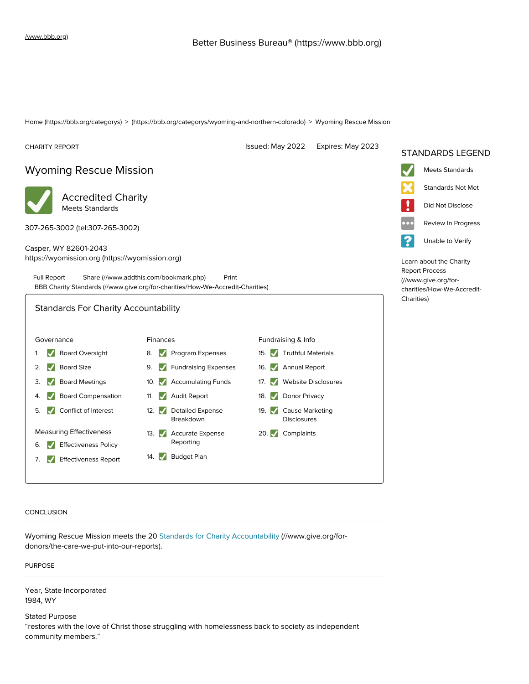[Home \(https://bbb.org/categorys\)](https://bbb.org/categorys) > [\(https://bbb.org/categorys/wyoming-and-northern-colorado\)](https://bbb.org/categorys/wyoming-and-northern-colorado) > Wyoming Rescue Mission



CONCLUSION

[Wyoming Rescue Mission meets the 20 Standards for Charity Accountability \(//www.give.org/for](https://www.give.org/for-donors/the-care-we-put-into-our-reports)donors/the-care-we-put-into-our-reports).

PURPOSE

Year, State Incorporated 1984, WY

Stated Purpose "restores with the love of Christ those struggling with homelessness back to society as independent community members."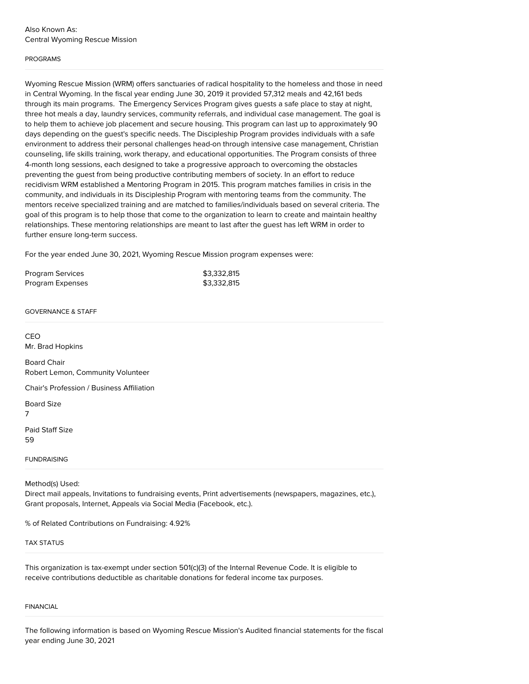## PROGRAMS

Wyoming Rescue Mission (WRM) offers sanctuaries of radical hospitality to the homeless and those in need in Central Wyoming. In the fiscal year ending June 30, 2019 it provided 57,312 meals and 42,161 beds through its main programs. The Emergency Services Program gives guests a safe place to stay at night, three hot meals a day, laundry services, community referrals, and individual case management. The goal is to help them to achieve job placement and secure housing. This program can last up to approximately 90 days depending on the guest's specific needs. The Discipleship Program provides individuals with a safe environment to address their personal challenges head-on through intensive case management, Christian counseling, life skills training, work therapy, and educational opportunities. The Program consists of three 4-month long sessions, each designed to take a progressive approach to overcoming the obstacles preventing the guest from being productive contributing members of society. In an effort to reduce recidivism WRM established a Mentoring Program in 2015. This program matches families in crisis in the community, and individuals in its Discipleship Program with mentoring teams from the community. The mentors receive specialized training and are matched to families/individuals based on several criteria. The goal of this program is to help those that come to the organization to learn to create and maintain healthy relationships. These mentoring relationships are meant to last after the guest has left WRM in order to further ensure long-term success.

For the year ended June 30, 2021, Wyoming Rescue Mission program expenses were:

| <b>Program Services</b> | \$3,332,815 |
|-------------------------|-------------|
| Program Expenses        | \$3,332,815 |

GOVERNANCE & STAFF

CEO Mr. Brad Hopkins Board Chair Robert Lemon, Community Volunteer Chair's Profession / Business Affiliation Board Size 7 Paid Staff Size 59 **FUNDRAISING** Method(s) Used: Direct mail appeals, Invitations to fundraising events, Print advertisements (newspapers, magazines, etc.),

% of Related Contributions on Fundraising: 4.92%

Grant proposals, Internet, Appeals via Social Media (Facebook, etc.).

TAX STATUS

This organization is tax-exempt under section 501(c)(3) of the Internal Revenue Code. It is eligible to receive contributions deductible as charitable donations for federal income tax purposes.

## FINANCIAL

The following information is based on Wyoming Rescue Mission's Audited financial statements for the fiscal year ending June 30, 2021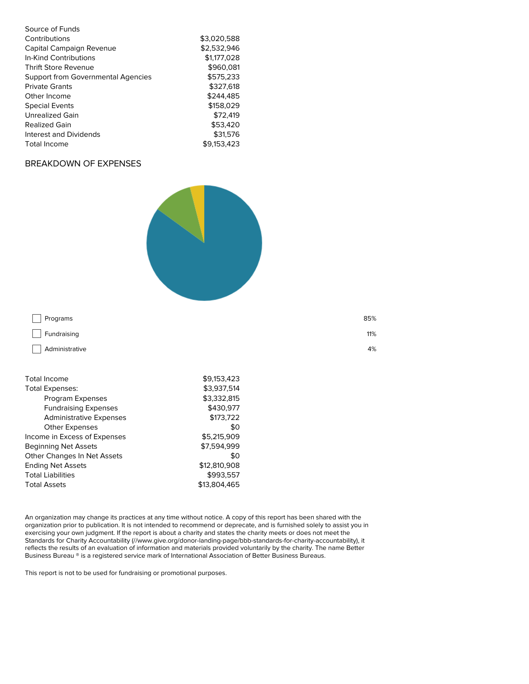| Source of Funds                           |             |
|-------------------------------------------|-------------|
| Contributions                             | \$3.020.588 |
| Capital Campaign Revenue                  | \$2,532,946 |
| In-Kind Contributions                     | \$1,177,028 |
| <b>Thrift Store Revenue</b>               | \$960,081   |
| <b>Support from Governmental Agencies</b> | \$575.233   |
| <b>Private Grants</b>                     | \$327,618   |
| Other Income                              | \$244.485   |
| <b>Special Events</b>                     | \$158,029   |
| Unrealized Gain                           | \$72.419    |
| <b>Realized Gain</b>                      | \$53,420    |
| Interest and Dividends                    | \$31,576    |
| Total Income                              | \$9.153.423 |

## BREAKDOWN OF EXPENSES



| Programs                                      | 85%                        |
|-----------------------------------------------|----------------------------|
| Fundraising                                   | 11%                        |
| Administrative                                | 4%                         |
| <b>Total Income</b><br><b>Total Expenses:</b> | \$9,153,423<br>\$3,937,514 |

| TULGI LAPEIISES.                   | 33.JJ.J.J <del>IT</del> |
|------------------------------------|-------------------------|
| Program Expenses                   | \$3,332,815             |
| <b>Fundraising Expenses</b>        | \$430.977               |
| <b>Administrative Expenses</b>     | \$173,722               |
| <b>Other Expenses</b>              | \$0                     |
| Income in Excess of Expenses       | \$5.215.909             |
| <b>Beginning Net Assets</b>        | \$7.594.999             |
| <b>Other Changes In Net Assets</b> | \$0                     |
| <b>Ending Net Assets</b>           | \$12,810,908            |
| <b>Total Liabilities</b>           | \$993.557               |
| <b>Total Assets</b>                | \$13,804,465            |
|                                    |                         |

An organization may change its practices at any time without notice. A copy of this report has been shared with the organization prior to publication. It is not intended to recommend or deprecate, and is furnished solely to assist you in exercising your own judgment. If the report is about a charity and states the charity meets or does not meet the [Standards for Charity Accountability \(//www.give.org/donor-landing-page/bbb-standards-for-charity-accountability\)](https://www.give.org/donor-landing-page/bbb-standards-for-charity-accountability), it reflects the results of an evaluation of information and materials provided voluntarily by the charity. The name Better Business Bureau ® is a registered service mark of International Association of Better Business Bureaus.

This report is not to be used for fundraising or promotional purposes.